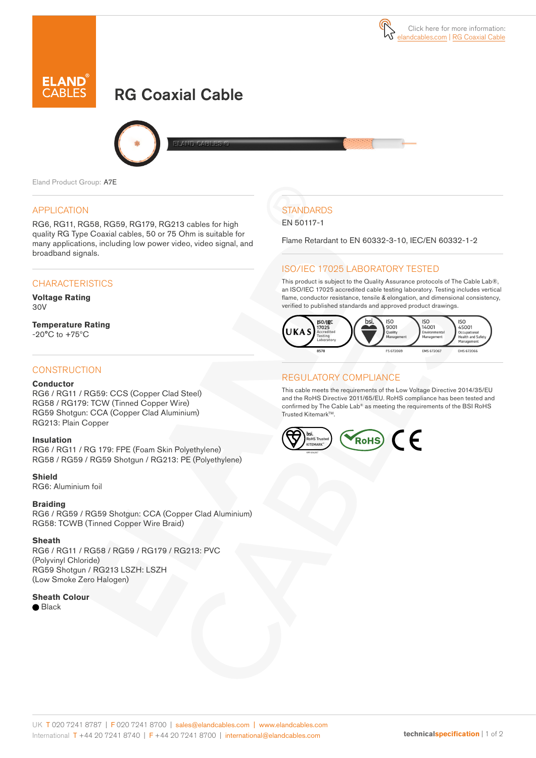# RG Coaxial Cable



Eland Product Group: A7E

#### APPLICATION

RG6, RG11, RG58, RG59, RG179, RG213 cables for high quality RG Type Coaxial cables, 50 or 75 Ohm is suitable for many applications, including low power video, video signal, and broadband signals.

#### **CHARACTERISTICS**

**Voltage Rating**  30V

**Temperature Rating** -20°C to +75ºC

#### **CONSTRUCTION**

#### **Conductor**

RG6 / RG11 / RG59: CCS (Copper Clad Steel) RG58 / RG179: TCW (Tinned Copper Wire) RG59 Shotgun: CCA (Copper Clad Aluminium) RG213: Plain Copper

#### **Insulation**

RG6 / RG11 / RG 179: FPE (Foam Skin Polyethylene) RG58 / RG59 / RG59 Shotgun / RG213: PE (Polyethylene)

#### **Shield**

RG6: Aluminium foil

#### **Braiding**

RG6 / RG59 / RG59 Shotgun: CCA (Copper Clad Aluminium) RG58: TCWB (Tinned Copper Wire Braid)

#### **Sheath**

RG6 / RG11 / RG58 / RG59 / RG179 / RG213: PVC (Polyvinyl Chloride) RG59 Shotgun / RG213 LSZH: LSZH (Low Smoke Zero Halogen)

#### **Sheath Colour**

● Black

# **STANDARDS**

EN 50117-1

Flame Retardant to EN 60332-3-10, IEC/EN 60332-1-2

### ISO/IEC 17025 LABORATORY TESTED

This product is subject to the Quality Assurance protocols of The Cable Lab®, an ISO/IEC 17025 accredited cable testing laboratory. Testing includes vertical flame, conductor resistance, tensile & elongation, and dimensional consistency, verified to published standards and approved product drawings.



#### REGULATORY COMPLIANCE

This cable meets the requirements of the Low Voltage Directive 2014/35/EU and the RoHS Directive 2011/65/EU. RoHS compliance has been tested and confirmed by The Cable Lab® as meeting the requirements of the BSI RoHS Trusted Kitemark™.